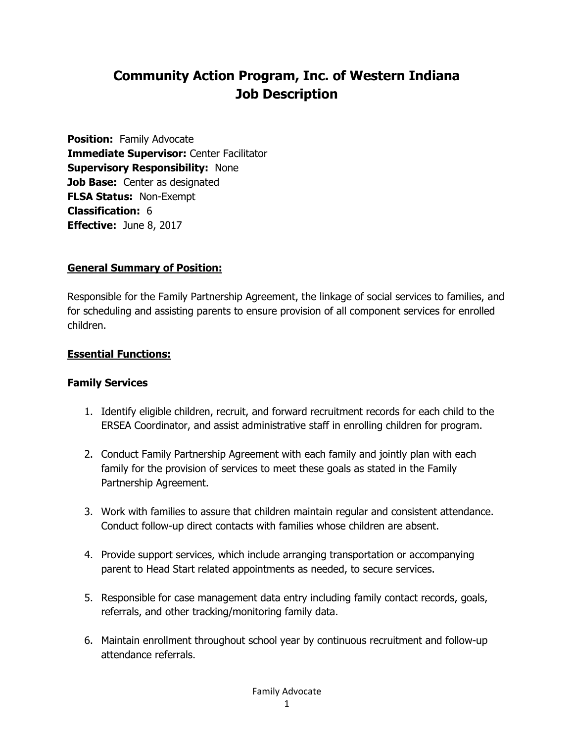# **Community Action Program, Inc. of Western Indiana Job Description**

**Position:** Family Advocate **Immediate Supervisor:** Center Facilitator **Supervisory Responsibility:** None **Job Base:** Center as designated **FLSA Status:** Non-Exempt **Classification:** 6 **Effective:** June 8, 2017

#### **General Summary of Position:**

Responsible for the Family Partnership Agreement, the linkage of social services to families, and for scheduling and assisting parents to ensure provision of all component services for enrolled children.

#### **Essential Functions:**

#### **Family Services**

- 1. Identify eligible children, recruit, and forward recruitment records for each child to the ERSEA Coordinator, and assist administrative staff in enrolling children for program.
- 2. Conduct Family Partnership Agreement with each family and jointly plan with each family for the provision of services to meet these goals as stated in the Family Partnership Agreement.
- 3. Work with families to assure that children maintain regular and consistent attendance. Conduct follow-up direct contacts with families whose children are absent.
- 4. Provide support services, which include arranging transportation or accompanying parent to Head Start related appointments as needed, to secure services.
- 5. Responsible for case management data entry including family contact records, goals, referrals, and other tracking/monitoring family data.
- 6. Maintain enrollment throughout school year by continuous recruitment and follow-up attendance referrals.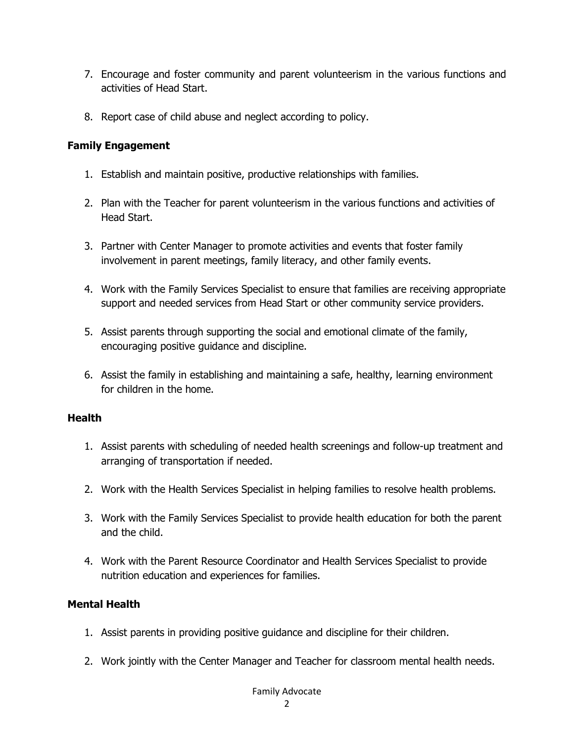- 7. Encourage and foster community and parent volunteerism in the various functions and activities of Head Start.
- 8. Report case of child abuse and neglect according to policy.

#### **Family Engagement**

- 1. Establish and maintain positive, productive relationships with families.
- 2. Plan with the Teacher for parent volunteerism in the various functions and activities of Head Start.
- 3. Partner with Center Manager to promote activities and events that foster family involvement in parent meetings, family literacy, and other family events.
- 4. Work with the Family Services Specialist to ensure that families are receiving appropriate support and needed services from Head Start or other community service providers.
- 5. Assist parents through supporting the social and emotional climate of the family, encouraging positive guidance and discipline.
- 6. Assist the family in establishing and maintaining a safe, healthy, learning environment for children in the home.

#### **Health**

- 1. Assist parents with scheduling of needed health screenings and follow-up treatment and arranging of transportation if needed.
- 2. Work with the Health Services Specialist in helping families to resolve health problems.
- 3. Work with the Family Services Specialist to provide health education for both the parent and the child.
- 4. Work with the Parent Resource Coordinator and Health Services Specialist to provide nutrition education and experiences for families.

### **Mental Health**

- 1. Assist parents in providing positive guidance and discipline for their children.
- 2. Work jointly with the Center Manager and Teacher for classroom mental health needs.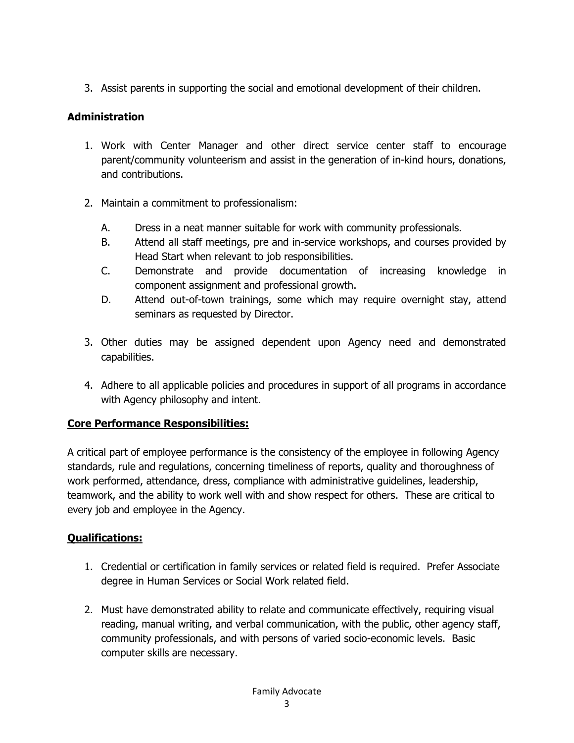3. Assist parents in supporting the social and emotional development of their children.

## **Administration**

- 1. Work with Center Manager and other direct service center staff to encourage parent/community volunteerism and assist in the generation of in-kind hours, donations, and contributions.
- 2. Maintain a commitment to professionalism:
	- A. Dress in a neat manner suitable for work with community professionals.
	- B. Attend all staff meetings, pre and in-service workshops, and courses provided by Head Start when relevant to job responsibilities.
	- C. Demonstrate and provide documentation of increasing knowledge in component assignment and professional growth.
	- D. Attend out-of-town trainings, some which may require overnight stay, attend seminars as requested by Director.
- 3. Other duties may be assigned dependent upon Agency need and demonstrated capabilities.
- 4. Adhere to all applicable policies and procedures in support of all programs in accordance with Agency philosophy and intent.

## **Core Performance Responsibilities:**

A critical part of employee performance is the consistency of the employee in following Agency standards, rule and regulations, concerning timeliness of reports, quality and thoroughness of work performed, attendance, dress, compliance with administrative guidelines, leadership, teamwork, and the ability to work well with and show respect for others. These are critical to every job and employee in the Agency.

## **Qualifications:**

- 1. Credential or certification in family services or related field is required. Prefer Associate degree in Human Services or Social Work related field.
- 2. Must have demonstrated ability to relate and communicate effectively, requiring visual reading, manual writing, and verbal communication, with the public, other agency staff, community professionals, and with persons of varied socio-economic levels. Basic computer skills are necessary.